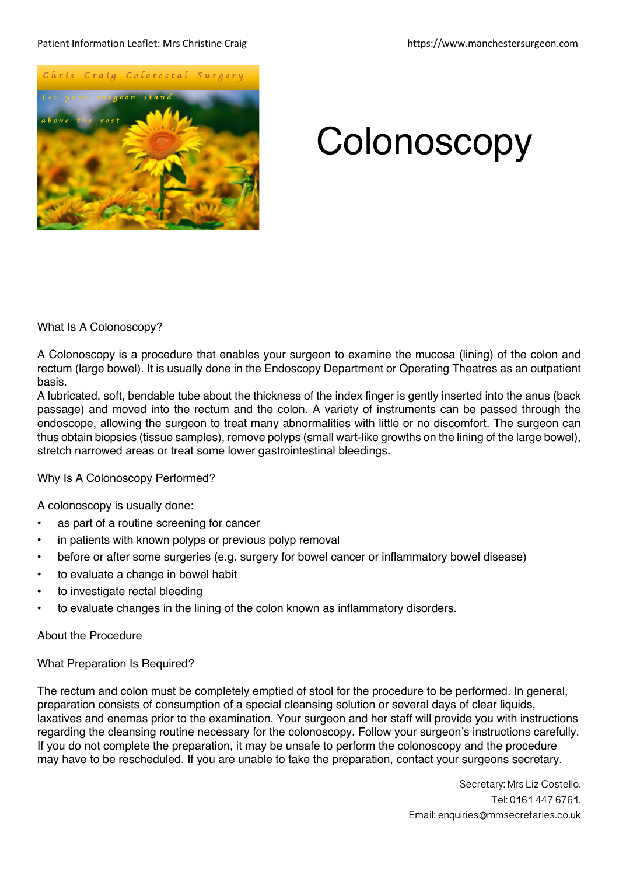#### Patient Information Leaflet: Mrs Christine Craig https://www.manchestersurgeon.com



# **Colonoscopy**

What Is A Colonoscopy?

A Colonoscopy is a procedure that enables your surgeon to examine the mucosa (lining) of the colon and rectum (large bowel). It is usually done in the Endoscopy Department or Operating Theatres as an outpatient basis.

A lubricated, soft, bendable tube about the thickness of the index finger is gently inserted into the anus (back passage) and moved into the rectum and the colon. A variety of instruments can be passed through the endoscope, allowing the surgeon to treat many abnormalities with little or no discomfort. The surgeon can thus obtain biopsies (tissue samples), remove polyps (small wart-like growths on the lining of the large bowel), stretch narrowed areas or treat some lower gastrointestinal bleedings.

Why Is A Colonoscopy Performed?

A colonoscopy is usually done:

- as part of a routine screening for cancer
- in patients with known polyps or previous polyp removal
- before or after some surgeries (e.g. surgery for bowel cancer or inflammatory bowel disease)
- to evaluate a change in bowel habit
- to investigate rectal bleeding
- to evaluate changes in the lining of the colon known as inflammatory disorders.

About the Procedure

What Preparation Is Required?

The rectum and colon must be completely emptied of stool for the procedure to be performed. In general, preparation consists of consumption of a special cleansing solution or several days of clear liquids, laxatives and enemas prior to the examination. Your surgeon and her staff will provide you with instructions regarding the cleansing routine necessary for the colonoscopy. Follow your surgeon's instructions carefully. If you do not complete the preparation, it may be unsafe to perform the colonoscopy and the procedure may have to be rescheduled. If you are unable to take the preparation, contact your surgeons secretary.

> Secretary: Mrs Liz Costello. Tel: 0161 447 6761. Email: enquiries@mmsecretaries.co.uk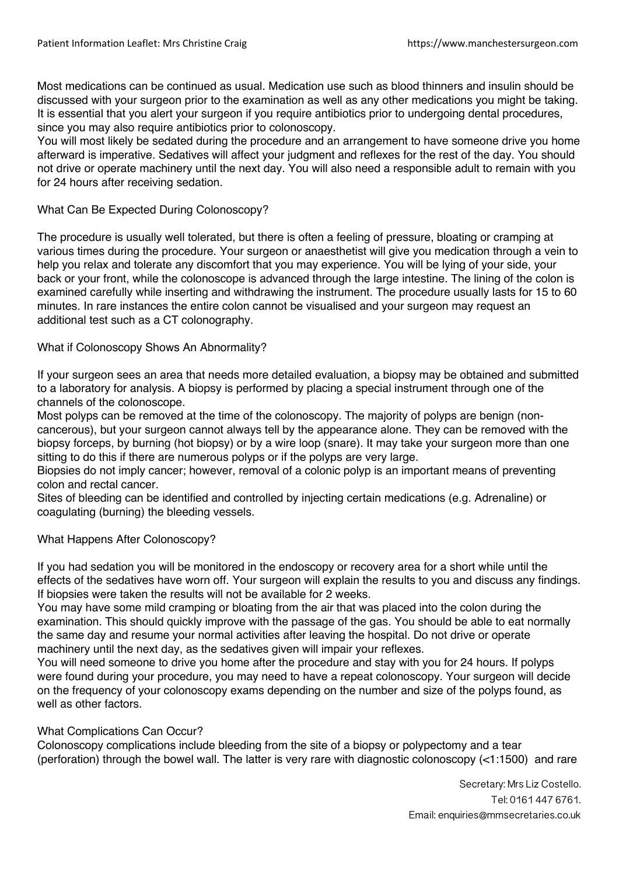Most medications can be continued as usual. Medication use such as blood thinners and insulin should be discussed with your surgeon prior to the examination as well as any other medications you might be taking. It is essential that you alert your surgeon if you require antibiotics prior to undergoing dental procedures, since you may also require antibiotics prior to colonoscopy.

You will most likely be sedated during the procedure and an arrangement to have someone drive you home afterward is imperative. Sedatives will affect your judgment and reflexes for the rest of the day. You should not drive or operate machinery until the next day. You will also need a responsible adult to remain with you for 24 hours after receiving sedation.

## What Can Be Expected During Colonoscopy?

The procedure is usually well tolerated, but there is often a feeling of pressure, bloating or cramping at various times during the procedure. Your surgeon or anaesthetist will give you medication through a vein to help you relax and tolerate any discomfort that you may experience. You will be lying of your side, your back or your front, while the colonoscope is advanced through the large intestine. The lining of the colon is examined carefully while inserting and withdrawing the instrument. The procedure usually lasts for 15 to 60 minutes. In rare instances the entire colon cannot be visualised and your surgeon may request an additional test such as a CT colonography.

## What if Colonoscopy Shows An Abnormality?

If your surgeon sees an area that needs more detailed evaluation, a biopsy may be obtained and submitted to a laboratory for analysis. A biopsy is performed by placing a special instrument through one of the channels of the colonoscope.

Most polyps can be removed at the time of the colonoscopy. The majority of polyps are benign (noncancerous), but your surgeon cannot always tell by the appearance alone. They can be removed with the biopsy forceps, by burning (hot biopsy) or by a wire loop (snare). It may take your surgeon more than one sitting to do this if there are numerous polyps or if the polyps are very large.

Biopsies do not imply cancer; however, removal of a colonic polyp is an important means of preventing colon and rectal cancer.

Sites of bleeding can be identified and controlled by injecting certain medications (e.g. Adrenaline) or coagulating (burning) the bleeding vessels.

## What Happens After Colonoscopy?

If you had sedation you will be monitored in the endoscopy or recovery area for a short while until the effects of the sedatives have worn off. Your surgeon will explain the results to you and discuss any findings. If biopsies were taken the results will not be available for 2 weeks.

You may have some mild cramping or bloating from the air that was placed into the colon during the examination. This should quickly improve with the passage of the gas. You should be able to eat normally the same day and resume your normal activities after leaving the hospital. Do not drive or operate machinery until the next day, as the sedatives given will impair your reflexes.

You will need someone to drive you home after the procedure and stay with you for 24 hours. If polyps were found during your procedure, you may need to have a repeat colonoscopy. Your surgeon will decide on the frequency of your colonoscopy exams depending on the number and size of the polyps found, as well as other factors.

## What Complications Can Occur?

Colonoscopy complications include bleeding from the site of a biopsy or polypectomy and a tear (perforation) through the bowel wall. The latter is very rare with diagnostic colonoscopy (<1:1500) and rare

> Secretary: Mrs Liz Costello. Tel: 0161 447 6761. Email: enquiries@mmsecretaries.co.uk